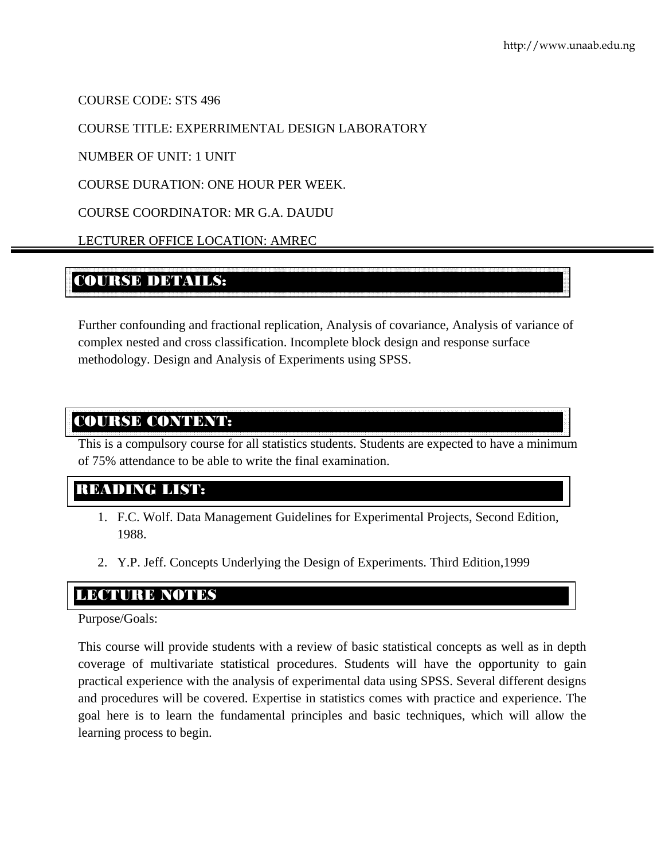COURSE CODE: STS 496

### COURSE TITLE: EXPERRIMENTAL DESIGN LABORATORY

NUMBER OF UNIT: 1 UNIT

COURSE DURATION: ONE HOUR PER WEEK.

COURSE COORDINATOR: MR G.A. DAUDU

LECTURER OFFICE LOCATION: AMREC

# COURSE DETAILS:

Further confounding and fractional replication, Analysis of covariance, Analysis of variance of complex nested and cross classification. Incomplete block design and response surface methodology. Design and Analysis of Experiments using SPSS.

### COURSE CONTENT:

This is a compulsory course for all statistics students. Students are expected to have a minimum of 75% attendance to be able to write the final examination.

# READING LIST:

- 1. F.C. Wolf. Data Management Guidelines for Experimental Projects, Second Edition, 1988.
- 2. Y.P. Jeff. Concepts Underlying the Design of Experiments. Third Edition,1999

## LECTURE NOTES

### Purpose/Goals:

This course will provide students with a review of basic statistical concepts as well as in depth coverage of multivariate statistical procedures. Students will have the opportunity to gain practical experience with the analysis of experimental data using SPSS. Several different designs and procedures will be covered. Expertise in statistics comes with practice and experience. The goal here is to learn the fundamental principles and basic techniques, which will allow the learning process to begin.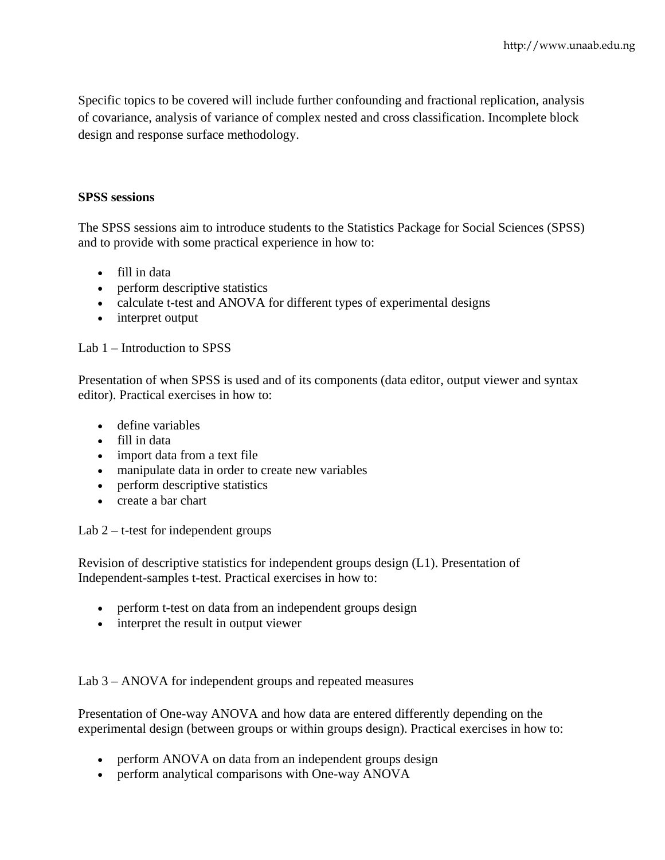Specific topics to be covered will include further confounding and fractional replication, analysis of covariance, analysis of variance of complex nested and cross classification. Incomplete block design and response surface methodology.

#### **SPSS sessions**

The SPSS sessions aim to introduce students to the Statistics Package for Social Sciences (SPSS) and to provide with some practical experience in how to:

- fill in data
- perform descriptive statistics
- calculate t-test and ANOVA for different types of experimental designs
- interpret output

#### Lab 1 – Introduction to SPSS

Presentation of when SPSS is used and of its components (data editor, output viewer and syntax editor). Practical exercises in how to:

- define variables
- fill in data
- import data from a text file
- manipulate data in order to create new variables
- perform descriptive statistics
- create a bar chart

Lab  $2 - t$ -test for independent groups

Revision of descriptive statistics for independent groups design (L1). Presentation of Independent-samples t-test. Practical exercises in how to:

- perform t-test on data from an independent groups design
- interpret the result in output viewer

Lab 3 – ANOVA for independent groups and repeated measures

Presentation of One-way ANOVA and how data are entered differently depending on the experimental design (between groups or within groups design). Practical exercises in how to:

- perform ANOVA on data from an independent groups design
- perform analytical comparisons with One-way ANOVA